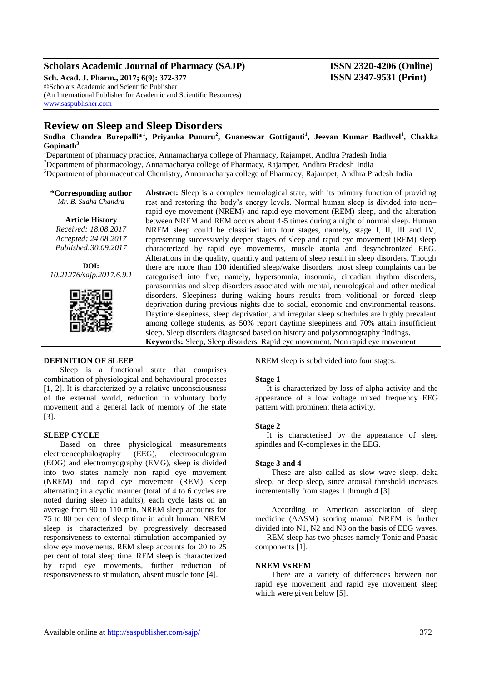# **Scholars Academic Journal of Pharmacy (SAJP) ISSN 2320-4206 (Online)**

**Sch. Acad. J. Pharm., 2017; 6(9): 372-377 ISSN 2347-9531 (Print)** ©Scholars Academic and Scientific Publisher (An International Publisher for Academic and Scientific Resources) [www.saspublisher.com](http://www.saspublisher.com/)

# **Review on Sleep and Sleep Disorders**

**Sudha Chandra Burepalli\*<sup>1</sup> , Priyanka Punuru<sup>2</sup> , Gnaneswar Gottiganti<sup>1</sup> , Jeevan Kumar Badhvel<sup>1</sup> , Chakka Gopinath<sup>3</sup>**

<sup>1</sup>Department of pharmacy practice, Annamacharya college of Pharmacy, Rajampet, Andhra Pradesh India <sup>2</sup>Department of pharmacology, Annamacharya college of Pharmacy, Rajampet, Andhra Pradesh India <sup>3</sup>Department of pharmaceutical Chemistry, Annamacharya college of Pharmacy, Rajampet, Andhra Pradesh India

**\*Corresponding author** *Mr. B. Sudha Chandra* **Article History** *Received: 18.08.2017 Accepted: 24.08.2017 Published:30.09.2017 10.21276/sajp.2017.6.9.1* **Abstract: S**leep is a complex neurological state, with its primary function of providing rest and restoring the body's energy levels. Normal human sleep is divided into non– rapid eye movement (NREM) and rapid eye movement (REM) sleep, and the alteration between NREM and REM occurs about 4-5 times during a night of normal sleep. Human NREM sleep could be classified into four stages, namely, stage I, II, III and IV, representing successively deeper stages of sleep and rapid eye movement (REM) sleep characterized by rapid eye movements, muscle atonia and desynchronized EEG. Alterations in the quality, quantity and pattern of sleep result in sleep disorders. Though there are more than 100 identified sleep/wake disorders, most sleep complaints can be categorised into five, namely, hypersomnia, insomnia, circadian rhythm disorders, parasomnias and sleep disorders associated with mental, neurological and other medical disorders. Sleepiness during waking hours results from volitional or forced sleep deprivation during previous nights due to social, economic and environmental reasons. Daytime sleepiness, sleep deprivation, and irregular sleep schedules are highly prevalent among college students, as 50% report daytime sleepiness and 70% attain insufficient sleep. Sleep disorders diagnosed based on history and polysomnography findings. **Keywords:** Sleep, Sleep disorders, Rapid eye movement, Non rapid eye movement.

# **DEFINITION OF SLEEP**

**DOI:**

Sleep is a functional state that comprises combination of physiological and behavioural processes [1, 2]. It is characterized by a relative unconsciousness of the external world, reduction in voluntary body movement and a general lack of memory of the state [3].

# **SLEEP CYCLE**

Based on three physiological measurements electroencephalography (EEG), electrooculogram (EOG) and electromyography (EMG), sleep is divided into two states namely non rapid eye movement (NREM) and rapid eye movement (REM) sleep alternating in a cyclic manner (total of 4 to 6 cycles are noted during sleep in adults), each cycle lasts on an average from 90 to 110 min. NREM sleep accounts for 75 to 80 per cent of sleep time in adult human. NREM sleep is characterized by progressively decreased responsiveness to external stimulation accompanied by slow eye movements. REM sleep accounts for 20 to 25 per cent of total sleep time. REM sleep is characterized by rapid eye movements, further reduction of responsiveness to stimulation, absent muscle tone [4].

NREM sleep is subdivided into four stages.

#### **Stage 1**

It is characterized by loss of alpha activity and the appearance of a low voltage mixed frequency EEG pattern with prominent theta activity.

#### **Stage 2**

It is characterised by the appearance of sleep spindles and K-complexes in the EEG.

#### **Stage 3 and 4**

These are also called as slow wave sleep, delta sleep, or deep sleep, since arousal threshold increases incrementally from stages 1 through 4 [3].

According to American association of sleep medicine (AASM) scoring manual NREM is further divided into N1, N2 and N3 on the basis of EEG waves.

REM sleep has two phases namely Tonic and Phasic components [1].

#### **NREM Vs REM**

There are a variety of differences between non rapid eye movement and rapid eye movement sleep which were given below [5].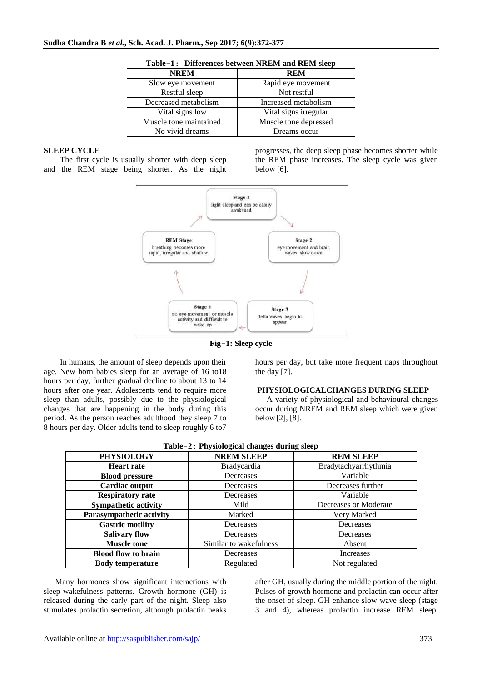| <b>NREM</b>            | <b>REM</b>            |  |
|------------------------|-----------------------|--|
| Slow eye movement      | Rapid eye movement    |  |
| Restful sleep          | Not restful           |  |
| Decreased metabolism   | Increased metabolism  |  |
| Vital signs low        | Vital signs irregular |  |
| Muscle tone maintained | Muscle tone depressed |  |
| No vivid dreams        | Dreams occur          |  |

|  | Table-1: Differences between NREM and REM sleep |  |  |  |  |  |
|--|-------------------------------------------------|--|--|--|--|--|
|--|-------------------------------------------------|--|--|--|--|--|

# **SLEEP CYCLE**

The first cycle is usually shorter with deep sleep and the REM stage being shorter. As the night progresses, the deep sleep phase becomes shorter while the REM phase increases. The sleep cycle was given below [6].



**Fig**-**1: Sleep cycle**

 In humans, the amount of sleep depends upon their age. New born babies sleep for an average of 16 to18 hours per day, further gradual decline to about 13 to 14 hours after one year. Adolescents tend to require more sleep than adults, possibly due to the physiological changes that are happening in the body during this period. As the person reaches adulthood they sleep 7 to 8 hours per day. Older adults tend to sleep roughly 6 to7

hours per day, but take more frequent naps throughout the day [7].

#### **PHYSIOLOGICALCHANGES DURING SLEEP**

A variety of physiological and behavioural changes occur during NREM and REM sleep which were given below [2], [8].

| Table-2: Physiological changes during sleep |                        |                       |  |  |  |
|---------------------------------------------|------------------------|-----------------------|--|--|--|
| <b>PHYSIOLOGY</b>                           | <b>NREM SLEEP</b>      | <b>REM SLEEP</b>      |  |  |  |
| <b>Heart rate</b>                           | <b>Bradycardia</b>     | Bradytachyarrhythmia  |  |  |  |
| <b>Blood pressure</b>                       | Decreases              | Variable              |  |  |  |
| Cardiac output                              | Decreases              | Decreases further     |  |  |  |
| <b>Respiratory rate</b>                     | Decreases              | Variable              |  |  |  |
| <b>Sympathetic activity</b>                 | Mild                   | Decreases or Moderate |  |  |  |
| <b>Parasympathetic activity</b>             | Marked                 | Very Marked           |  |  |  |
| <b>Gastric motility</b>                     | Decreases              | Decreases             |  |  |  |
| <b>Salivary flow</b>                        | Decreases              | Decreases             |  |  |  |
| <b>Muscle tone</b>                          | Similar to wakefulness | Absent                |  |  |  |
| <b>Blood flow to brain</b>                  | Decreases              | Increases             |  |  |  |
| <b>Body temperature</b>                     | Regulated              | Not regulated         |  |  |  |

**Table**-**2**: **Physiological changes during sleep**

Many hormones show significant interactions with sleep-wakefulness patterns. Growth hormone (GH) is released during the early part of the night. Sleep also stimulates prolactin secretion, although prolactin peaks after GH, usually during the middle portion of the night. Pulses of growth hormone and prolactin can occur after the onset of sleep. GH enhance slow wave sleep (stage 3 and 4), whereas prolactin increase REM sleep.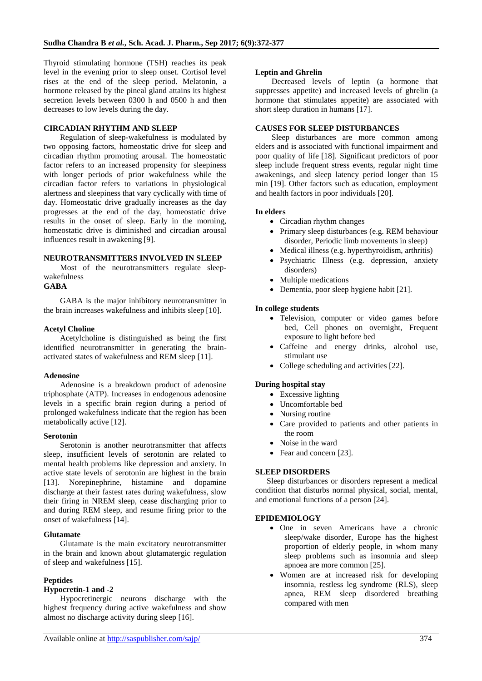Thyroid stimulating hormone (TSH) reaches its peak level in the evening prior to sleep onset. Cortisol level rises at the end of the sleep period. Melatonin, a hormone released by the pineal gland attains its highest secretion levels between 0300 h and 0500 h and then decreases to low levels during the day.

# **CIRCADIAN RHYTHM AND SLEEP**

Regulation of sleep-wakefulness is modulated by two opposing factors, homeostatic drive for sleep and circadian rhythm promoting arousal. The homeostatic factor refers to an increased propensity for sleepiness with longer periods of prior wakefulness while the circadian factor refers to variations in physiological alertness and sleepiness that vary cyclically with time of day. Homeostatic drive gradually increases as the day progresses at the end of the day, homeostatic drive results in the onset of sleep. Early in the morning, homeostatic drive is diminished and circadian arousal influences result in awakening [9].

#### **NEUROTRANSMITTERS INVOLVED IN SLEEP**

Most of the neurotransmitters regulate sleepwakefulness

# **GABA**

GABA is the major inhibitory neurotransmitter in the brain increases wakefulness and inhibits sleep [10].

#### **Acetyl Choline**

Acetylcholine is distinguished as being the first identified neurotransmitter in generating the brainactivated states of wakefulness and REM sleep [11].

# **Adenosine**

Adenosine is a breakdown product of adenosine triphosphate (ATP). Increases in endogenous adenosine levels in a specific brain region during a period of prolonged wakefulness indicate that the region has been metabolically active [12].

#### **Serotonin**

Serotonin is another neurotransmitter that affects sleep, insufficient levels of serotonin are related to mental health problems like depression and anxiety. In active state levels of serotonin are highest in the brain [13]. Norepinephrine, histamine and dopamine discharge at their fastest rates during wakefulness, slow their firing in NREM sleep, cease discharging prior to and during REM sleep, and resume firing prior to the onset of wakefulness [14].

# **Glutamate**

Glutamate is the main excitatory neurotransmitter in the brain and known about glutamatergic regulation of sleep and wakefulness [15].

# **Peptides**

# **Hypocretin-1 and -2**

Hypocretinergic neurons discharge with the highest frequency during active wakefulness and show almost no discharge activity during sleep [16].

# **Leptin and Ghrelin**

Decreased levels of leptin (a hormone that suppresses appetite) and increased levels of ghrelin (a hormone that stimulates appetite) are associated with short sleep duration in humans [17].

# **CAUSES FOR SLEEP DISTURBANCES**

Sleep disturbances are more common among elders and is associated with functional impairment and poor quality of life [18]. Significant predictors of poor sleep include frequent stress events, regular night time awakenings, and sleep latency period longer than 15 min [19]. Other factors such as education, employment and health factors in poor individuals [20].

#### **In elders**

- Circadian rhythm changes
- Primary sleep disturbances (e.g. REM behaviour disorder, Periodic limb movements in sleep)
- Medical illness (e.g. hyperthyroidism, arthritis)
- Psychiatric Illness (e.g. depression, anxiety disorders)
- Multiple medications
- Dementia, poor sleep hygiene habit [21].

# **In college students**

- Television, computer or video games before bed, Cell phones on overnight, Frequent exposure to light before bed
- Caffeine and energy drinks, alcohol use, stimulant use
- College scheduling and activities [22].

# **During hospital stay**

- Excessive lighting
- Uncomfortable bed
- Nursing routine
- Care provided to patients and other patients in the room
- Noise in the ward
- Fear and concern [23].

# **SLEEP DISORDERS**

Sleep disturbances or disorders represent a medical condition that disturbs normal physical, social, mental, and emotional functions of a person [24].

# **EPIDEMIOLOGY**

- One in seven Americans have a chronic sleep/wake disorder, Europe has the highest proportion of elderly people, in whom many sleep problems such as insomnia and sleep apnoea are more common [25].
- Women are at increased risk for developing insomnia, restless leg syndrome (RLS), sleep apnea, REM sleep disordered breathing compared with men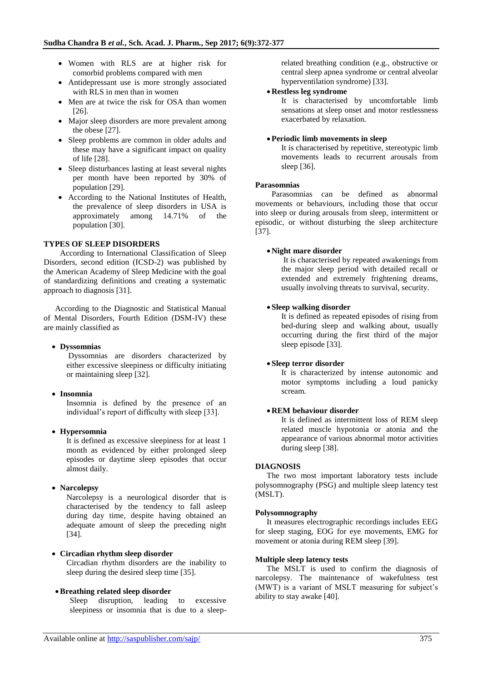- Women with RLS are at higher risk for comorbid problems compared with men
- Antidepressant use is more strongly associated with RLS in men than in women
- Men are at twice the risk for OSA than women [26].
- Major sleep disorders are more prevalent among the obese [27].
- Sleep problems are common in older adults and these may have a significant impact on quality of life [28].
- Sleep disturbances lasting at least several nights per month have been reported by 30% of population [29].
- According to the National Institutes of Health, the prevalence of sleep disorders in USA is approximately among 14.71% of the population [30].

# **TYPES OF SLEEP DISORDERS**

According to International Classification of Sleep Disorders, second edition (ICSD-2) was published by the American Academy of Sleep Medicine with the goal of standardizing definitions and creating a systematic approach to diagnosis [31].

According to the Diagnostic and Statistical Manual of Mental Disorders, Fourth Edition (DSM-IV) these are mainly classified as

# **Dyssomnias**

Dyssomnias are disorders characterized by either excessive sleepiness or difficulty initiating or maintaining sleep [32].

# **Insomnia**

Insomnia is defined by the presence of an individual's report of difficulty with sleep [33].

# **Hypersomnia**

It is defined as excessive sleepiness for at least 1 month as evidenced by either prolonged sleep episodes or daytime sleep episodes that occur almost daily.

# **Narcolepsy**

Narcolepsy is a neurological disorder that is characterised by the tendency to fall asleep during day time, despite having obtained an adequate amount of sleep the preceding night [34].

# **Circadian rhythm sleep disorder**

Circadian rhythm disorders are the inability to sleep during the desired sleep time [35].

#### **Breathing related sleep disorder**

Sleep disruption, leading to excessive sleepiness or insomnia that is due to a sleeprelated breathing condition (e.g., obstructive or central sleep apnea syndrome or central alveolar hyperventilation syndrome) [33].

#### **Restless leg syndrome**

It is characterised by uncomfortable limb sensations at sleep onset and motor restlessness exacerbated by relaxation.

#### **Periodic limb movements in sleep**

It is characterised by repetitive, stereotypic limb movements leads to recurrent arousals from sleep [36].

#### **Parasomnias**

Parasomnias can be defined as abnormal movements or behaviours, including those that occur into sleep or during arousals from sleep, intermittent or episodic, or without disturbing the sleep architecture [37].

#### **Night mare disorder**

It is characterised by repeated awakenings from the major sleep period with detailed recall or extended and extremely frightening dreams, usually involving threats to survival, security.

#### **Sleep walking disorder**

It is defined as repeated episodes of rising from bed-during sleep and walking about, usually occurring during the first third of the major sleep episode [33].

#### **Sleep terror disorder**

It is characterized by intense autonomic and motor symptoms including a loud panicky scream.

# **REM behaviour disorder**

It is defined as intermittent loss of REM sleep related muscle hypotonia or atonia and the appearance of various abnormal motor activities during sleep [38].

# **DIAGNOSIS**

The two most important laboratory tests include polysomnography (PSG) and multiple sleep latency test (MSLT).

#### **Polysomnography**

It measures electrographic recordings includes EEG for sleep staging, EOG for eye movements, EMG for movement or atonia during REM sleep [39].

#### **Multiple sleep latency tests**

The MSLT is used to confirm the diagnosis of narcolepsy. The maintenance of wakefulness test (MWT) is a variant of MSLT measuring for subject's ability to stay awake [40].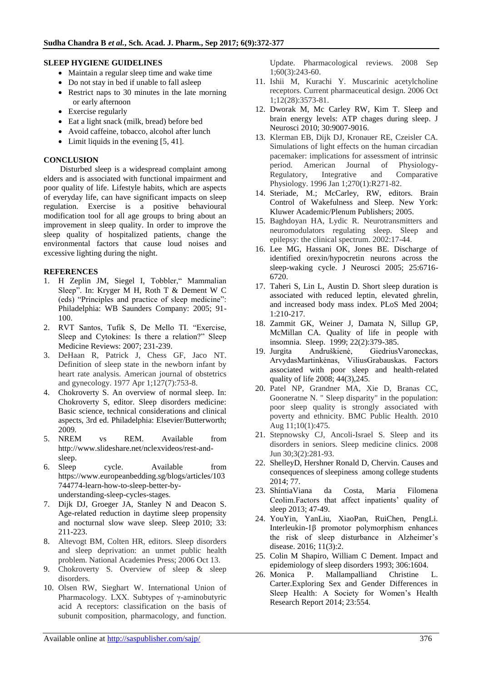# **SLEEP HYGIENE GUIDELINES**

- Maintain a regular sleep time and wake time
- Do not stay in bed if unable to fall asleep
- Restrict naps to 30 minutes in the late morning or early afternoon
- Exercise regularly
- Eat a light snack (milk, bread) before bed
- Avoid caffeine, tobacco, alcohol after lunch
- Limit liquids in the evening [5, 41].

# **CONCLUSION**

Disturbed sleep is a widespread complaint among elders and is associated with functional impairment and poor quality of life. Lifestyle habits, which are aspects of everyday life, can have significant impacts on sleep regulation. Exercise is a positive behavioural modification tool for all age groups to bring about an improvement in sleep quality. In order to improve the sleep quality of hospitalized patients, change the environmental factors that cause loud noises and excessive lighting during the night.

# **REFERENCES**

- 1. H Zeplin JM, Siegel I, Tobbler," Mammalian Sleep". In: Kryger M H, Roth T & Dement W C (eds) "Principles and practice of sleep medicine": Philadelphia: WB Saunders Company: 2005; 91- 100.
- 2. RVT Santos, Tufik S, De Mello TI. "Exercise, Sleep and Cytokines: Is there a relation?" Sleep Medicine Reviews: 2007; 231-239.
- 3. DeHaan R, Patrick J, Chess GF, Jaco NT. Definition of sleep state in the newborn infant by heart rate analysis. American journal of obstetrics and gynecology. 1977 Apr 1;127(7):753-8.
- 4. Chokroverty S. An overview of normal sleep. In: Chokroverty S, editor. Sleep disorders medicine: Basic science, technical considerations and clinical aspects, 3rd ed. Philadelphia: Elsevier/Butterworth; 2009.
- 5. NREM vs REM. Available from [http://www.slideshare.net/nclexvideos/rest-and](http://www.slideshare.net/nclexvideos/rest-and-sleep)[sleep.](http://www.slideshare.net/nclexvideos/rest-and-sleep)
- 6. Sleep cycle. Available from [https://www.europeanbedding.sg/blogs/articles/103](https://www.europeanbedding.sg/blogs/articles/103744774-learn-how-to-sleep-better-by-understanding-sleep-cycles-stages) [744774-learn-how-to-sleep-better-by](https://www.europeanbedding.sg/blogs/articles/103744774-learn-how-to-sleep-better-by-understanding-sleep-cycles-stages)[understanding-sleep-cycles-stages.](https://www.europeanbedding.sg/blogs/articles/103744774-learn-how-to-sleep-better-by-understanding-sleep-cycles-stages)
- 7. Dijk DJ, Groeger JA, Stanley N and Deacon S. Age-related reduction in daytime sleep propensity and nocturnal slow wave sleep. Sleep 2010; 33: 211-223.
- 8. Altevogt BM, Colten HR, editors. Sleep disorders and sleep deprivation: an unmet public health problem. National Academies Press; 2006 Oct 13.
- 9. Chokroverty S. Overview of sleep & sleep disorders.
- 10. Olsen RW, Sieghart W. International Union of Pharmacology. LXX. Subtypes of γ-aminobutyric acid A receptors: classification on the basis of subunit composition, pharmacology, and function.

Update. Pharmacological reviews. 2008 Sep 1;60(3):243-60.

- 11. Ishii M, Kurachi Y. Muscarinic acetylcholine receptors. Current pharmaceutical design. 2006 Oct 1;12(28):3573-81.
- 12. Dworak M, Mc Carley RW, Kim T. Sleep and brain energy levels: ATP chages during sleep. J Neurosci 2010; 30:9007-9016.
- 13. Klerman EB, Dijk DJ, Kronauer RE, Czeisler CA. Simulations of light effects on the human circadian pacemaker: implications for assessment of intrinsic period. American Journal of Physiology-Regulatory, Integrative and Comparative Physiology. 1996 Jan 1;270(1):R271-82.
- 14. Steriade, M.; McCarley, RW, editors. Brain Control of Wakefulness and Sleep. New York: Kluwer Academic/Plenum Publishers; 2005.
- 15. Baghdoyan HA, Lydic R. Neurotransmitters and neuromodulators regulating sleep. Sleep and epilepsy: the clinical spectrum. 2002:17-44.
- 16. Lee MG, Hassani OK, Jones BE. Discharge of identified orexin/hypocretin neurons across the sleep-waking cycle. J Neurosci 2005; 25:6716- 6720.
- 17. Taheri S, Lin L, Austin D. Short sleep duration is associated with reduced leptin, elevated ghrelin, and increased body mass index. PLoS Med 2004; 1:210-217.
- 18. Zammit GK, Weiner J, Damata N, Sillup GP, McMillan CA. Quality of life in people with insomnia. Sleep. 1999; 22(2):379-385.
- 19. Jurgita Andruškienė, GiedriusVaroneckas, ArvydasMartinkėnas, ViliusGrabauskas. Factors associated with poor sleep and health-related quality of life 2008; 44(3),245.
- 20. Patel NP, Grandner MA, Xie D, Branas CC, Gooneratne N. " Sleep disparity" in the population: poor sleep quality is strongly associated with poverty and ethnicity. BMC Public Health. 2010 Aug 11;10(1):475.
- 21. Stepnowsky CJ, Ancoli-Israel S. Sleep and its disorders in seniors. Sleep medicine clinics. 2008 Jun 30;3(2):281-93.
- 22. ShelleyD, Hershner Ronald D, Chervin. Causes and consequences of sleepiness among college students 2014; 77.
- 23. ShíntiaViana da Costa, Maria Filomena Ceolim.Factors that affect inpatients' quality of sleep 2013; 47-49.
- 24. YouYin, YanLiu, XiaoPan, RuiChen, PengLi. Interleukin-1β promotor polymorphism enhances the risk of sleep disturbance in Alzheimer's disease. 2016; 11(3):2.
- 25. Colin M Shapiro, William C Dement. Impact and epidemiology of sleep disorders 1993; 306:1604.
- 26. Monica P. Mallampalliand Christine L. Carter.Exploring Sex and Gender Differences in Sleep Health: A Society for Women's Health Research Report 2014; 23:554.